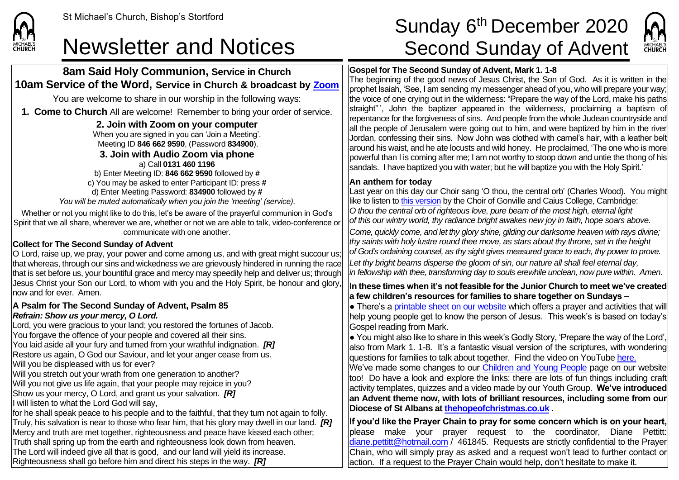

## **8am Said Holy Communion, Service in Church 10am Service of the Word, Service in Church & broadcast by [Zoom](https://zoom.us/)**

You are welcome to share in our worship in the following ways:

**1. Come to Church** All are welcome! Remember to bring your order of service.

#### **2. Join with Zoom on your computer** When you are signed in you can 'Join a Meeting'. Meeting ID **846 662 9590**, (Password **834900**). **3. Join with Audio Zoom via phone**  a) Call **0131 460 1196** b) Enter Meeting ID: **846 662 9590** followed by **#** c) You may be asked to enter Participant ID: press **#** d) Enter Meeting Password: **834900** followed by **#** *You will be muted automatically when you join the 'meeting' (service).*

Whether or not you might like to do this, let's be aware of the prayerful communion in God's Spirit that we all share, wherever we are, whether or not we are able to talk, video-conference or communicate with one another.

### **Collect for The Second Sunday of Advent**

O Lord, raise up, we pray, your power and come among us, and with great might succour us; that whereas, through our sins and wickedness we are grievously hindered in running the race that is set before us, your bountiful grace and mercy may speedily help and deliver us; through Jesus Christ your Son our Lord, to whom with you and the Holy Spirit, be honour and glory, now and for ever. Amen.

#### **A Psalm for The Second Sunday of Advent, Psalm 85** *Refrain: Show us your mercy, O Lord.*

Lord, you were gracious to your land; you restored the fortunes of Jacob. You forgave the offence of your people and covered all their sins. You laid aside all your fury and turned from your wrathful indignation. *[R]* Restore us again, O God our Saviour, and let your anger cease from us. Will you be displeased with us for ever? Will you stretch out your wrath from one generation to another? Will you not give us life again, that your people may rejoice in you? Show us your mercy, O Lord, and grant us your salvation. *[R]* I will listen to what the Lord God will say, for he shall speak peace to his people and to the faithful, that they turn not again to folly. Truly, his salvation is near to those who fear him, that his glory may dwell in our land. *[R]* Mercy and truth are met together, righteousness and peace have kissed each other; Truth shall spring up from the earth and righteousness look down from heaven. The Lord will indeed give all that is good, and our land will yield its increase. Righteousness shall go before him and direct his steps in the way. *[R]*

# St Michael's Church, Bishop's Stortford  $\textsf{Sunday\ 6}^{\textsf{th}}\textsf{December 2020}$ Newsletter and Notices Second Sunday of Advent



### **Gospel for The Second Sunday of Advent, Mark 1. 1-8**

The beginning of the good news of Jesus Christ, the Son of God. As it is written in the prophet Isaiah, 'See, I am sending my messenger ahead of you, who will prepare your way; the voice of one crying out in the wilderness: "Prepare the way of the Lord, make his paths straight" ', John the baptizer appeared in the wilderness, proclaiming a baptism of repentance for the forgiveness of sins. And people from the whole Judean countryside and all the people of Jerusalem were going out to him, and were baptized by him in the river Jordan, confessing their sins. Now John was clothed with camel's hair, with a leather belt around his waist, and he ate locusts and wild honey. He proclaimed, 'The one who is more powerful than I is coming after me; I am not worthy to stoop down and untie the thong of his sandals. I have baptized you with water; but he will baptize you with the Holy Spirit.'

#### **An anthem for today**

Last year on this day our Choir sang 'O thou, the central orb' (Charles Wood). You might like to listen to [this version](https://www.youtube.com/watch?v=aK2zp-d6seI) by the Choir of Gonville and Caius College, Cambridge: *O thou the central orb of righteous love, pure beam of the most high, eternal light of this our wintry world, thy radiance bright awakes new joy in faith, hope soars above. Come, quickly come, and let thy glory shine, gilding our darksome heaven with rays divine; thy saints with holy lustre round thee move, as stars about thy throne, set in the height of God's ordaining counsel, as thy sight gives measured grace to each, thy power to prove. Let thy bright beams disperse the gloom of sin, our nature all shall feel eternal day, in fellowship with thee, transforming day to souls erewhile unclean, now pure within. Amen.*

#### **In these times when it's not feasible for the Junior Church to meet we've created a few children's resources for families to share together on Sundays –**

 $\bullet$  There's a [printable sheet on our website](https://saintmichaelweb.org.uk/Groups/310496/Children_and_Young.aspx) which offers a prayer and activities that will help young people get to know the person of Jesus. This week's is based on today's Gospel reading from Mark.

 $\bullet$  You might also like to share in this week's Godly Story, 'Prepare the way of the Lord', also from Mark 1. 1-8. It's a fantastic visual version of the scriptures, with wondering questions for families to talk about together. Find the video on YouTube [here.](https://www.youtube.com/watch?v=hTC7Yy33kjk)

We've made some changes to our [Children and Young People](https://saintmichaelweb.org.uk/Groups/310496/Children_and_Young.aspx) page on our website too! Do have a look and explore the links: there are lots of fun things including craft activity templates, quizzes and a video made by our Youth Group. **We've introduced an Advent theme now, with lots of brilliant resources, including some from our Diocese of St Albans at [thehopeofchristmas.co.uk](http://thehopeofchristmas.co.uk/)** *.*

**If you'd like the Prayer Chain to pray for some concern which is on your heart,** please make your prayer request to the coordinator, Diane Pettitt: [diane.pettitt@hotmail.com](mailto:diane.pettitt@hotmail.com) / 461845. Requests are strictly confidential to the Prayer Chain, who will simply pray as asked and a request won't lead to further contact or action. If a request to the Prayer Chain would help, don't hesitate to make it.